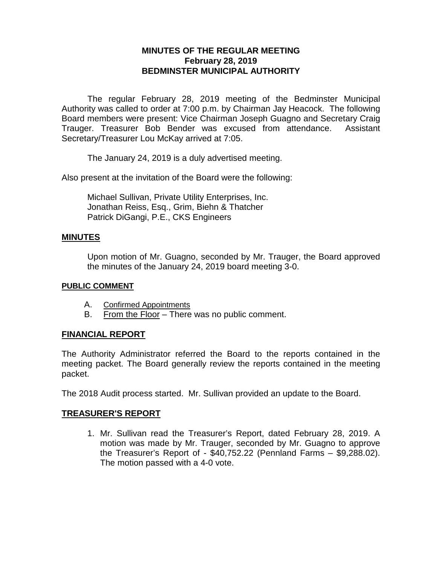# **MINUTES OF THE REGULAR MEETING February 28, 2019 BEDMINSTER MUNICIPAL AUTHORITY**

The regular February 28, 2019 meeting of the Bedminster Municipal Authority was called to order at 7:00 p.m. by Chairman Jay Heacock. The following Board members were present: Vice Chairman Joseph Guagno and Secretary Craig Trauger. Treasurer Bob Bender was excused from attendance. Assistant Secretary/Treasurer Lou McKay arrived at 7:05.

The January 24, 2019 is a duly advertised meeting.

Also present at the invitation of the Board were the following:

Michael Sullivan, Private Utility Enterprises, Inc. Jonathan Reiss, Esq., Grim, Biehn & Thatcher Patrick DiGangi, P.E., CKS Engineers

#### **MINUTES**

Upon motion of Mr. Guagno, seconded by Mr. Trauger, the Board approved the minutes of the January 24, 2019 board meeting 3-0.

#### **PUBLIC COMMENT**

- A. Confirmed Appointments
- B. From the Floor There was no public comment.

# **FINANCIAL REPORT**

The Authority Administrator referred the Board to the reports contained in the meeting packet. The Board generally review the reports contained in the meeting packet.

The 2018 Audit process started. Mr. Sullivan provided an update to the Board.

# **TREASURER'S REPORT**

1. Mr. Sullivan read the Treasurer's Report, dated February 28, 2019. A motion was made by Mr. Trauger, seconded by Mr. Guagno to approve the Treasurer's Report of - \$40,752.22 (Pennland Farms – \$9,288.02). The motion passed with a 4-0 vote.